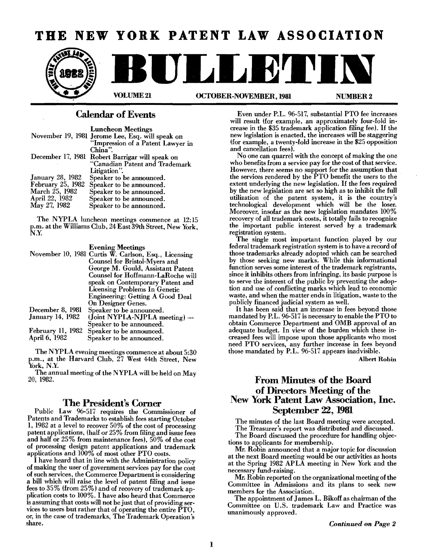# **THE NEW YORK PATENT LAW ASSOCIATION**



### Calendar of Events

| <b>Luncheon Meetings</b>                         |
|--------------------------------------------------|
| November 19, 1981 Jerome Lee, Esq. will speak on |
| "Impression of a Patent Lawyer in                |
| China".                                          |
| December 17, 1981 Robert Barrigar will speak on  |
| "Canadian Patent and Trademark                   |
| Litigation".                                     |
| Speaker to be announced.                         |
| Speaker to be announced.                         |
| Speaker to be announced.                         |
| Speaker to be announced.                         |
| Speaker to be announced.                         |
|                                                  |

The NYPLA luncheon meetings commence at 12:15 p.m. at the Williams Club, 24 East 39th Street, New York, N.Y.

#### Evening Meetings

| November 10, 1981 Curtis W. Carlson, Esq., Licensing |
|------------------------------------------------------|
| Counsel for Bristol-Myers and                        |
| George M. Gould, Assistant Patent                    |
| Counsel for Hoffmann-LaRoche will                    |
| speak on Contemporary Patent and                     |
| <b>Licensing Problems In Genetic</b>                 |
| <b>Engineering: Getting A Good Deal</b>              |
| On Designer Genes.                                   |
| Speaker to be announced.                             |
| (Joint NYPLA-NJPLA meeting) —                        |
| Speaker to be announced.                             |
| Speaker to be announced.                             |
| Speaker to be announced.                             |
|                                                      |

The NYPLA evening meetings commence at about 5:30 p.m., at the Harvard Club, 27 West 44th Street, New York, N.Y.

The annual meeting of the NYPLA will be held on May 20, 1982.

#### The President's Corner

Public Law 96-517 requires the Commissioner of Patents and Trademarks to establish fees starting October 1, 1982 at a level to recover 50% of the cost of processing patent applications, (half or 25% from filing and issue fees and half or 25% from maintenance fees), 50% of the cost of processing design patent applications and trademark applications and 100% of most other PTO costs.

I have heard that in line with the Administration policy of making the user of government services pay for the cost of such services. the Commerce Department is considering a bill which will raise the level of patent filing and issue fees to 35% (from 25%) and of recovery of trademark application costs to 100%. I have also heard that Commerce is assuming that costs will not be just that of providing ser vices to users but rather that of operating the entire  $\text{PTO}$ , or, in the case of trademarks, The Trademark Operation's share.

Even under P.L. 96-517, substantial PTO fee increases will result (for example, an approximately fonr-fold increase in the \$35 trademark application filing fee). If the new legislation is enacted, the increases will be staggering (for example, a twenty-fold increase in the \$25 opposition and cancellation fees).

No one can quarrel with the concept of making the one who benefits from a service pay for the cost of that service. However, there seems no support for the assumption that the services rendered by the PTO benefit the users to the extent underlying the new legislation. If the fees required by the new legislation are set so high as to inhibit the full utilization of the patent system, it is the country's technological development which will be the loser. Moreover, insofar as the new legislation mandates 100% recovery of all trademark costs, it totally fails to recognize the important public interest served by a trademark registration system.

The single most important function played by onr federal trademark registration system is to have a record of those trademarks already adopted which can be searched by those seeking new marks. While this informational function serves some interest of the trademark registrants, since it inhibits others from infringing, its basic purpose is to serve the interest of the public by preventing the adoption and use of conflicting marks which lead to economic waste, and when the matter ends in litigation, waste to the publicly financed judicial system as well.

It has been said that an increase in fees beyond those mandated by P.L. 96-517 is necessary to enable the PTO to obtain Commerce Department and OMB approval of an adequate budget. In view of the burden which these increased fees will impose upon those applicants who most need PTO services, any further increase in fees beyond those mandated by P.L. 96-517 appears inadvisible.

Albert Robin

## From Minutes of the Board of Directors Meeting of the New York Patent Law Association, Inc. September 22, 1981

The minutes of the last Board meeting were accepted. The Treasurer's report was distributed and discussed.

The Board discussed the procedure for handling objections to applicants for membership.

Mr. Robin announced that a major topic for discussion at the next Board meeting would be onr activities as hosts at the Spring 1982 APLA meeting in New York and the necessary fund-raising.

Mr. Robin reported on the organizational meeting of the Committee in Admissions and its plans to seek new members for the Association.

The appointment of James L. Bikoff as chairman of the Committee on U.S. trademark Law and Practice was unanimously approved.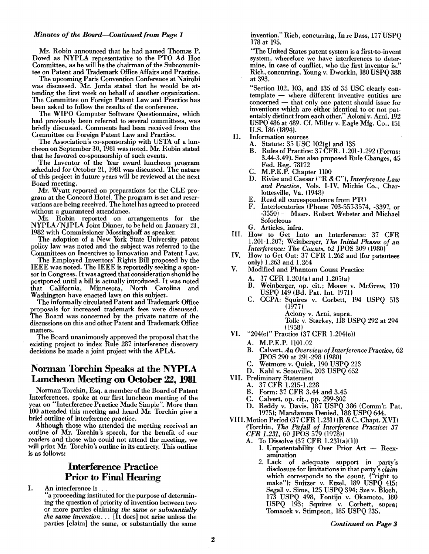#### *Minutes of the Board-Continued from Page 1*

Mr. Robin announced that he had named Thomas P. Dowd as NYPLA representative to the PTO Ad Hoc Committee, as he will be the chairman of the Subcommittee on Patent and Trademark Office Affairs and Practice.

The upcoming Paris Convention Conference at Nairobi was discussed. Mr. Jorda stated that he would be attending the first week on behalf of another organization. The Committee on Foreign Patent Law and Practice has been asked to follow the results of the conference.

The WIPO Computer Software Questionnaire, which had previously been referred to several committees, was briefly discussed. Comments had been received from the Committee on Foreign Patent Law and Practice.

The Association's co-sponsorship with USTA of a luncheon on September 30, 1981 was noted. Mr. Robin stated that he favored co-sponsorship of such events.

The Inventor of the Year award luncheon program scheduled for October 21, 1981 was discussed. The nature of this project in future years will be reviewed at the next Board meeting.

Mr. Wyatt reported on preparations for the CLE program at the Concord Hotel. The program is set and reservations are being received. The hotel has agreed to proceed without a guaranteed attendance.

Mr. Robin reported on arrangements for the NYPLA/NJPLA Joint Dinner, to be held on January 21, 1982 with Commissioner Mossinghoff as speaker.

The adoption of a New York State University patent policy law was noted and the subject was referred to the Committees on Incentives to Innovation and Patent Law.

The Employed Inventors' Rights Bill proposed by the IEEE was noted. The IEEE is reportedly seeking a sponsor in Congress. It was agreed that consideration should be postponed until a bill is actually introduced. It was noted that California, Minnesota, North Carolina Washington have enacted laws on this subject.

The informally circulated Patent and Trademark Office proposals for increased trademark fees were discussed. The Board was concerned by the private nature of the discussions on this and other Patent and Trademark Office matters.

The Board unanimously approved the proposal that the existing project to index Rule 287 interference discovery decisions be made a joint project with the APLA.

### Norman Torchin Speaks at the NYPLA Luncheon Meeting on October 22, 1981

Norman Torchin, Esq. a member of the Board of Patent Interferences, spoke at our first luncheon meeting of the year on "Interference Practice Made Simple". More than 100 attended this meeting and heard Mr. Torchin give a brief outline of interference practice.

Although those who attended the meeting received an outline of Mr. Torchin's speech, for the benefit of our readers and those who could not attend the meeting, we will print Mr. Torchin's outline in its entirety. This outline is as follows:

## Interference Practice Prior to Final Hearing

I. An interference is  $\ldots$ 

"a proceeding instituted for the purpose of determining the question of priority of invention between two or more parties claiming *the same* or *substantially the same invention...* [It does] not arise unless the parties [claim] the same, or substantially the same

invention." Rich, concurring, In re Bass, 177USPQ 178 at 195.

"The United States patent system is a first-to-invent system, wherefore we have interferences to determine, in case of conflict, who the first inventor is." Rich, concurring, Young v. Dworkin, 180 USPQ 388 at 393.

"Section 102, 103, and 135 of 35 USC clearly con $template$  — where different inventive entities are concerned - that only one patent should issue for inventions which are either identical to or not patentably distinct from each other." Aeloni v. Ami, 192 USPQ 486 at 489. Cf. Miller v. Eagle Mfg. Co., 151 U.S. 186 (1894).

- II. Information sources
	- A. Statute: 35 USC 102(g) and 135<br>B. Rules of Practice: 37 CFR. 1.201
	- Rules of Practice: 37 CFR. 1.201-1.292 (Forms: 3.44-3.49). See also proposed Rule Changes, 45 Fed. Reg. 78172
	- C. M.P.E.P. Chapter 1100
	- D. Rivise and Caesar ("R & C"), *Interference Law and Practice,* Vols. I-IV, Michie Co., Charlottesville, Va. (1948)
	- E. Read all correspondence from PTO<br>F. Interlocutories (Phone 703-557-3574
	- Interlocutories (Phone 703-557-3574, -3397, or -3550) - Mssrs. Robert Webster and Michael Sofocleous
	- G. Articles, infra.
- III. How to Get Into an Interference: 37 CFR 1.201-1.207; Weinberger, *The Initial Phases of an Interference:* The *Counts,* 62 JPOS 309 (1980)
- IV. How to Get Out: 37 CFR 1.262 and (for patentees only) 1.263 and 1.264
- V. Modified and Phantom Count Practice
	- A. 37 CFR 1.201(a) and 1.205(a)<br>B. Weinberger, op. cit.; Moore
	- Weinberger, op. cit.; Moore v. McGrew, 170 USPQ 149 (Bd. Pat. Int. 1971)
	- C. CCPA: Squires v. Corbett, 194 USPQ 513 (1977)
		- Aelony v. Arni, supra.
		- Tolle v. Starkey, 118 USPQ 292 at 294  $(1958)$
- VI. "204(c)" Practice (37 CFR 1.204(c))
	- A. M.P.E.P. 1101.02<br>B. Calvert, *An Overv* 
		- Calvert, *An Overview of Interference Practice*, 62 JPOS 290 at 291-298 (1980)
		- C. Wetmore v. Quick, 190 USPQ 223
		- D. Kahl v. Scouville, 203 USPQ 652
- VII. Preliminary Statement
	- A. 37 CFR 1.215-1.228
		- B. Form: 37 CFR 3.44 and 3.45<br>C. Calvert. op. cit., pp. 299-302
		- C. Calvert, op. cit., pp. 299-302<br>D. Reddy v. Davis. 187 USPO
		- Reddy v. Davis, 187 USPQ 386 (Comm'r. Pat. 1975); Mandamus Denied, 188 USPQ 644.
- VIII.Motion Period (37 CFR 1.231) (R & C, Chapt. XVI) (Torchin, *The Pitfall of Interference Practice: 37*  CFR 1.231, 60 JPOS 579 (1978))
	- A. To Dissolve (37 CFR 1.231(a)(1))
		- 1. Unpatentability Over Prior  $Art Reex$ amination
		- 2. Lack of adequate support in party's disclosure for limitations in that party's *claim*  which corresponds to the *count*. ("right to make"); Snitzer v. Etzel, 189 USPQ 415; Segall v. Sims, 125 USPQ 394; Sze v. Bloch, 173 USPQ 498, Fontijn v. Okamoto, 180 USPQ 193; Squires v. Corbett, supra; Tomacek v. Stimpson, 185 USPQ 235.

*Continued* on *Page* .,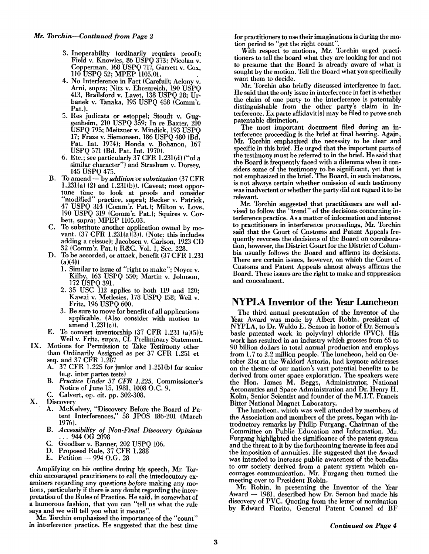- 3. Inoperability (ordinarily requires proof); Field v. Knowles, 86 USPQ 373; Nicolau v. Copperman, 168 USPQ 717, Garrett v. Cox,
- 4. No Interference in Fact (Careful); Aelony v. Ami, supra; Nitz v. Ehrenreich, 190 USPQ 413, Brailsford v. Lavet, 138 USPQ 28; Urbanek v. Tanaka, 195 USPQ 458 (Comm'r. Pat.).
- 5. Res judicata or estoppel; Stoudt v. Guggenheim, 210 USPQ 359; In re Baxter, 210 USPQ 795; Meitzner v. Mindick, 193 USPQ 17; Fraze v. Siemonsen, 186 USPQ 480 (Bd. Pat. Int. 1974); Honda v. Bohanon, 167 USPQ 571 (Bd. Pat. Int. 1970).
- 6. Etc.; see particularly 37 CFR 1.23l(d) ("of a similar character") and Strashum v. Dorsey, 145 USPO 475.
- B. To amend by *addition* or *substitution* (37 CFR 1.231(a) (2) and 1.231(b)). (Caveat; most opportune time to look at proofs and consider "modified" practice, supra); Becker v. Patrick, 47 USPQ 314 (Comm'r. Pat.); Milton v. Love 190 USPQ 319 (Comm'r. Pat.1; Squires v. Cor: bett, supra; MPEP 1105.03.
- C. To substitute another application owned by movant.  $(37 \text{ CFR } 1.231(a)(3))$ . (Note: this includes adding a reissue); Jacobsen v. Carlson, 1923 CD 32 (Comm'r. Pat.1; R&C, Vol. I, Sec.'228.
- D. To be accorded, or attack, benefit (37 CFR 1.231 (a)(41)
	- 1. Similar to issue of "right to make"; Noyce v. KIlby, 163 USPQ 550; Martin v. Johnson 172 USPO 391.
	- 2. 35 USC 112 applies to both 119 and 120; Kawai v. Metlesics, 178 USPO 158; Weil v. Fritz, 196 USPQ 600.
	- 3. Be sure to move for benefit of all applications applicable. (Also consider with motion to amend 1.23l(c)).
- E. To convert inventorship  $(37 \text{ CFR } 1.231 \text{ (a)}(5));$ Weil v. Fritz, supra, Cf. Preliminary Statement.
- IX. Motions for Permission to Take Testimony other than Ordinarily Assigned as per 37 CFR 1.251 et seq. and 37 CFR 1.287
	- A. 37 CFR 1.225 for junior and 1.25l(b) for senior (e.g. inter partes tests)
	- B. *Practice Under* 37 *CFR* 1.225, Commissioner's Notice of June 15, 1981, 1008 O.C. 9.
	- C. Calvert, op. cit. pp. 302-308.
- X. Discovery
	- A. McKelvey, "Discovery Before the Board of Patent Interferences," 58 JPOS 186-201 (March 1976).
	- B. *Accessibility of Non-Final Discovery Opinions* ... 944 OG 2098
	- C. Goodbar v. Banner, 202 USPQ 106.
	- D. Proposed Rule, 37 CFR 1.288<br>E. Petition 994 O.G. 28
	- Petition  $-994$  O.G. 28

Amplifying on his outline during his speech, Mr. Torchin encouraged practitioners to call the interlocutory examiners regarding any questions *before* making any motions, particularly if there is any doubt regarding the interpretation of the Rules of Practice. He said, in somewhat of a humorous fashion, that you can "tell us what the rule says and we will tell you what it means".

Mr. Torchin emphasized the importance of the "count" in interference practice. He suggested that the best time

*Mr. Torchin-Continued from Page 2* for practitioners to use their imaginations is during the motion period to "get the right count".

With respect to motions, Mr. Torchin urged practi tioners to tell the board what they are looking for and not to presume that the Board is already aware of what is sought by the motion. Tell the Board what you specifically want them to decide.

Mr. Torchin also briefly discussed interference in fact. He said that the only issue in interference in fact is whether the claim of one party to the interference is patentably distinguishable from the other. party's claim in interference. Ex parte affidavit(s) may be filed to prove such patentable distinction.

The most important document filed during an interference proceeding is the brief at final hearing. Again, Mr. Torchin emphasized the necessity to be clear and specific in this brief. He urged that the important parts of the testimony must be referred to in the brief. He said that the Board is frequently faced with a dilemma when it considers some of the testimony to be significant, yet that is not emphasized in the brief. The Board, in such instances, is not always certain whether omission of such testimony was inadvertent or whether the party did not regard it to be relevant.

Mr. Torchin suggested that practitioners are well advised to follow the "trend" of the decisions concerning interference practice. As a matter of information and interest to practitioners in interference proceedings, Mr. Torchin said that the Court of Customs and Patent Appeals frequently reverses the decisions of the Board on corroboration, however, the District Court for the District of Columbia usually follows the Board and affirms its decisions. There are certain issues, however, on which the Court of Customs and Patent Appeals almost always affirms the Board. These issues are the right to make and suppression and concealment.

### **NYPLA Inventor of the Year Luncheon**

The third annual presentation of the Inventor of the Year Award was made by Albert Robin, president of NYPLA, to Dr. Waldo E. Semon in honor of Dr. Semon's basic patented work in polyvinyl chloride (PVC). His work has resulted in an industry which grosses from 65 to 90 billion dollars in total annual production and employs from 1.7 to 2.2 million people. The luncheon, held on October 21st at the Waldorf Astoria, had keynote addresses on the theme of our nation's vast potential benefits to be derived from outer space exploration. The speakers were the Hon. James M. Beggs, Administrator, National Aeronautics and Space Administration and Dr. Henry H. Kolm, Senior Scientist and founder of the M.LT. Francis Bitter National Magnet Laboratory.

The luncheon, which was well attended by members of the Association and members of the press, began with introductory remarks by Philip Furgang, Chairman of the Committee on Public Education and Information. Mr. Furgang highlighted the significance of the patent system and the threat to it by the forthcoming increase in fees and the imposition of annuities. He suggested that the Award was intended to increase public awareness of the benefits to our society derived from a patent system which encourages communication. Mr. Furgang then turned the meeting over to President Robin.

Mr. Robin, in presenting the Inventor of the Year Award - 1981, described how Dr. Semon had made his discovery of PVC. Quoting from the letter of nomination by Edward Fiorito, General Patent Counsel of BF